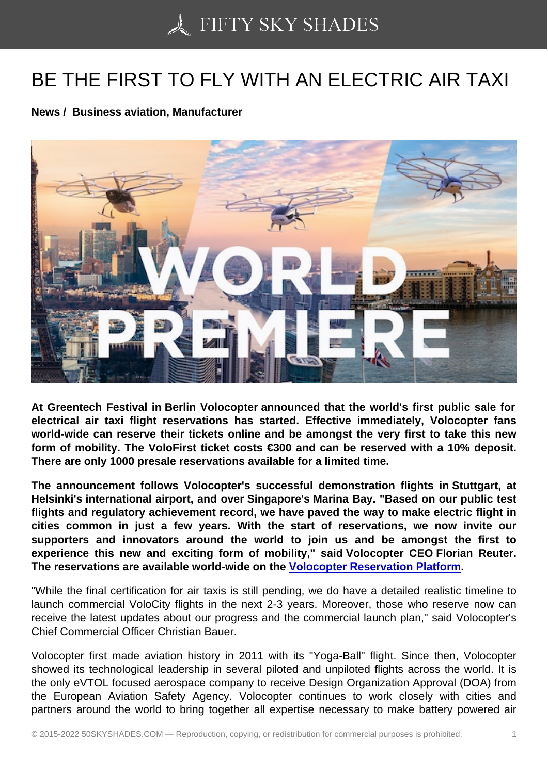## [BE THE FIRST TO FLY](https://50skyshades.com) WITH AN ELECTRIC AIR TAXI

News / Business aviation, Manufacturer

At Greentech Festival in Berlin Volocopter announced that the world's first public sale for electrical air taxi flight reservations has started. Effective immediately, Volocopter fans world-wide can reserve their tickets online and be amongst the very first to take this new form of mobility. The VoloFirst ticket costs €300 and can be reserved with a 10% deposit. There are only 1000 presale reservations available for a limited time.

The announcement follows Volocopter's successful demonstration flights in Stuttgart, at Helsinki's international airport, and over Singapore's Marina Bay. "Based on our public test flights and regulatory achievement record, we have paved the way to make electric flight in cities common in just a few years. With the start of reservations, we now invite our supporters and innovators around the world to join us and be amongst the first to experience this new and exciting form of mobility," said Volocopter CEO Florian Reuter. The reservations are available world-wide on the Volocopter Reservation Platform.

"While the final certification for air taxis is still pending, we do have a detailed realistic timeline to launch commercial VoloCity flights in the next 2-3 years. Moreover, those who reserve now can receive the latest updates about our progress and t[he commercial launch plan," said V](https://volocopter.com/en/tickets/)olocopter's Chief Commercial Officer Christian Bauer.

Volocopter first made aviation history in 2011 with its "Yoga-Ball" flight. Since then, Volocopter showed its technological leadership in several piloted and unpiloted flights across the world. It is the only eVTOL focused aerospace company to receive Design Organization Approval (DOA) from the European Aviation Safety Agency. Volocopter continues to work closely with cities and partners around the world to bring together all expertise necessary to make battery powered air